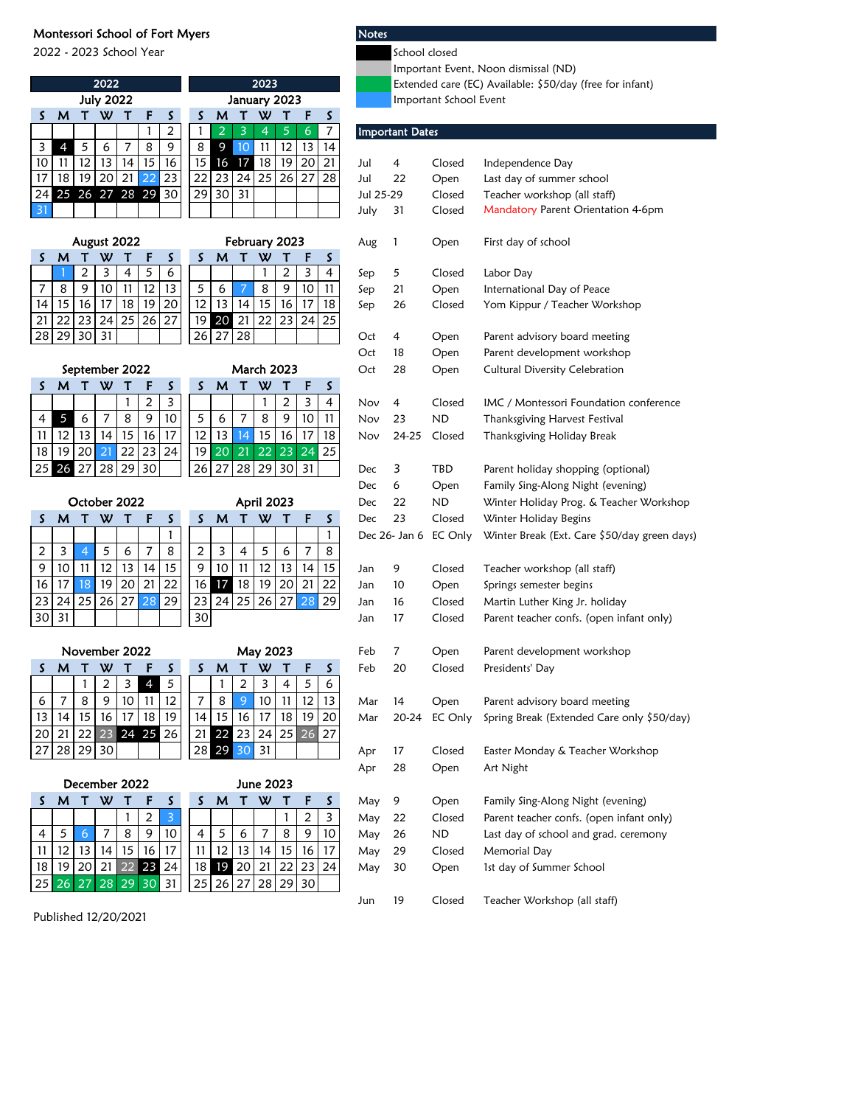## Montessori School of Fort Myers Notes

2022 - 2023 School Year School closed

|                  |                |              |                |                     |                         |                         |                   |                |                               |                                       |           |                                                          |                       | Important Event, Noon dismissal (ND)       |  |
|------------------|----------------|--------------|----------------|---------------------|-------------------------|-------------------------|-------------------|----------------|-------------------------------|---------------------------------------|-----------|----------------------------------------------------------|-----------------------|--------------------------------------------|--|
| 2022             |                |              |                |                     |                         |                         |                   | 2023           |                               |                                       |           | Extended care (EC) Available: \$50/day (free for infant) |                       |                                            |  |
| <b>July 2022</b> |                |              |                |                     |                         |                         |                   | January 2023   |                               |                                       |           | Important School Event                                   |                       |                                            |  |
| S                | м              | τ            | W              | ਾ                   | F                       | S                       | S                 | M              | W<br>т                        | F<br>S.<br>Т                          |           |                                                          |                       |                                            |  |
|                  |                |              |                |                     | 1                       | $\overline{\mathbf{c}}$ | 1                 | $\overline{2}$ | 3<br>4                        | $\overline{7}$<br>5<br>6              |           | <b>Important Dates</b>                                   |                       |                                            |  |
| 3                | $\overline{4}$ | 5            | 6              | 7                   | 8                       | 9                       | 8                 | 9              | 10<br>11                      | $\overline{13}$<br>12<br>14           |           |                                                          |                       |                                            |  |
| 10               | 11             | 12           | 13             | 14                  | 15                      | 16                      | 15                | 16             | 17<br>18                      | 19<br>20<br>21                        | Jul       | 4                                                        | Closed                | Independence Day                           |  |
| 17               | 18             | 19           | 20             | 21                  | 22                      | 23                      | 22                | 23             | 24<br>25                      | 26<br>27<br>28                        | Jul       | 22                                                       | Open                  | Last day of summer school                  |  |
| 24               |                |              | 25 26 27 28 29 |                     |                         | 30                      | 29                | 30             | 31                            |                                       | Jul 25-29 |                                                          | Closed                | Teacher workshop (all staff)               |  |
| 31               |                |              |                |                     |                         |                         |                   |                |                               |                                       | July      | 31                                                       | Closed                | Mandatory Parent Orientation 4-6pm         |  |
|                  |                |              |                |                     |                         |                         |                   |                |                               |                                       |           |                                                          |                       |                                            |  |
| S                | м              |              | August 2022    |                     | F                       | S                       | S                 | M              | February 2023<br>W<br>т       | F<br>S                                | Aug       | 1                                                        | Open                  | First day of school                        |  |
|                  |                | т<br>2       | W<br>3         | Т<br>$\overline{4}$ | 5                       | 6                       |                   |                | 1                             | Т<br>3<br>2<br>4                      | Sep       | 5                                                        | Closed                | Labor Day                                  |  |
| 7                | 8              | 9            | 10             | 11                  | 12                      | 13                      | 5                 | 6              | 8<br>7                        | 9<br>$\overline{10}$<br>11            | Sep       | 21                                                       | Open                  | International Day of Peace                 |  |
| 14               | 15             | 16           | 17             | $\overline{18}$     | 19                      | 20                      | 12                | 13             | 14<br>15                      | 16<br>17<br>18                        | Sep       | 26                                                       | Closed                | Yom Kippur / Teacher Workshop              |  |
| 21               | 22             | 23           | 24             | 25                  | 26                      | 27                      | 19                | 20 21          | 22                            | 23<br>24<br>25                        |           |                                                          |                       |                                            |  |
| 28               | 29             | 30           | 31             |                     |                         |                         | 26                | 27             | 28                            |                                       | Oct       | 4                                                        | Open                  | Parent advisory board meeting              |  |
|                  |                |              |                |                     |                         |                         |                   |                |                               |                                       | Oct       | 18                                                       | Open                  | Parent development workshop                |  |
|                  |                |              | September 2022 |                     |                         |                         | <b>March 2023</b> |                |                               |                                       | Oct       | 28                                                       | Open                  | <b>Cultural Diversity Celebration</b>      |  |
| S                | M              | τ            | W              | Т                   | F                       | S                       | S                 | M              | W<br>т                        | S.<br>F<br>т                          |           |                                                          |                       |                                            |  |
|                  |                |              |                | 1                   | $\overline{c}$          | 3                       |                   |                | $\mathbf{1}$                  | $\overline{2}$<br>3<br>$\overline{4}$ | Nov       | 4                                                        | Closed                | IMC / Montessori Foundation conference     |  |
| 4                | 5              | 6            | 7              | 8                   | 9                       | 10                      | 5                 | 6              | 7<br>8                        | 9<br>10<br>11                         | Nov       | 23                                                       | <b>ND</b>             | Thanksgiving Harvest Festival              |  |
| 11               | 12             | 13           | 14             | 15                  | 16                      | 17                      | 12                | 13             | 15<br>14                      | 16<br>17<br>18                        | Nov       | 24-25                                                    | Closed                | Thanksgiving Holiday Break                 |  |
| 18               | 19             | 20           | 21             | 22                  | 23                      | 24                      | 19                | 20             | 21<br>22                      | 24<br>23<br>25                        |           |                                                          |                       |                                            |  |
| 25               | 26             | 27           | 28             | 29                  | 30                      |                         | 26                | 27             | 28<br>29                      | 30<br>31                              | Dec       | 3                                                        | TBD                   | Parent holiday shopping (optional)         |  |
|                  |                |              |                |                     |                         |                         |                   |                |                               |                                       | Dec       | 6                                                        | Open                  | Family Sing-Along Night (evening)          |  |
|                  |                |              |                |                     |                         |                         |                   |                |                               |                                       |           |                                                          |                       |                                            |  |
|                  |                |              |                |                     |                         |                         |                   |                |                               |                                       |           |                                                          |                       |                                            |  |
|                  |                | October 2022 |                |                     |                         |                         |                   |                | April 2023                    |                                       | Dec       | 22                                                       | <b>ND</b>             | Winter Holiday Prog. & Teacher Workshop    |  |
| S                | м              | τ            | w              | т                   | F                       | S                       | S                 | М              | W<br>т                        | F<br>S<br>т                           | Dec       | 23                                                       | Closed                | Winter Holiday Begins                      |  |
|                  |                |              |                |                     |                         | 1                       |                   |                |                               | 1                                     |           |                                                          | Dec 26- Jan 6 EC Only | Winter Break (Ext. Care \$50/day green day |  |
| 2                | 3              | 4            | 5              | 6                   | 7                       | 8                       | 2                 | 3              | 5<br>$\overline{\mathcal{A}}$ | 8<br>7<br>6                           |           |                                                          |                       |                                            |  |
| 9                | 10             | 11           | 12             | 13                  | 14                      | 15                      | 9                 | 10             | 12<br>11                      | 13<br>15<br>14                        | Jan       | 9                                                        | Closed                | Teacher workshop (all staff)               |  |
| 16               | 17             | 18           | 19             | 20                  | 21                      | 22                      | 16                | 17             | 18<br>19                      | 20<br>21<br>22                        | Jan       | 10                                                       | Open                  | Springs semester begins                    |  |
| 23               | 24             | 25           | 26             | 27                  | 28                      | 29                      | 23                | 24             | 25<br>26                      | 28<br>27<br>29                        | Jan       | 16                                                       | Closed                | Martin Luther King Jr. holiday             |  |
| 30               | 31             |              |                |                     |                         |                         | 30                |                |                               |                                       | Jan       | 17                                                       | Closed                | Parent teacher confs. (open infant only)   |  |
|                  |                |              |                |                     |                         |                         |                   |                |                               |                                       |           |                                                          |                       |                                            |  |
|                  |                |              | November 2022  |                     |                         |                         |                   |                | May 2023                      |                                       | Feb       | 7                                                        | Open                  | Parent development workshop                |  |
| S.               | м              | τ            | W              |                     |                         | S                       | S                 | M              | W<br>т                        | F<br>S                                | Feb       | 20                                                       | Closed                | Presidents' Day                            |  |
|                  |                | $\mathbf{1}$ | 2              | 3                   | $\overline{4}$          | 5                       |                   | 1              | $\overline{c}$<br>3           | 4<br>5<br>6                           |           |                                                          |                       |                                            |  |
| 6                | 7              | 8            | 9              | 10                  | 11                      | 12                      | 7                 | 8              | 9<br>10                       | 11<br>12<br>13                        | Mar       | 14                                                       | Open                  | Parent advisory board meeting              |  |
| 13               | 14             | 15           | 16             | 17                  | 18                      | 19                      | 14                | 15             | 16<br>17                      | 18<br>19<br>20                        | Mar       | 20-24                                                    | EC Only               | Spring Break (Extended Care only \$50/day) |  |
| 20               | 21             | 22           |                |                     | 23 24 25 26             |                         | 21                | 22 23          | 24                            | 25<br>27<br>26                        |           |                                                          |                       |                                            |  |
| 27               | 28             | 29           | 30             |                     |                         |                         |                   | 28 29 30       | 31                            |                                       | Apr       | 17                                                       | Closed                | Easter Monday & Teacher Workshop           |  |
|                  |                |              |                |                     |                         |                         |                   |                |                               |                                       | Apr       | 28                                                       | Open                  | Art Night                                  |  |
|                  |                |              | December 2022  |                     |                         |                         |                   |                | <b>June 2023</b>              |                                       |           |                                                          |                       |                                            |  |
| S                | M              | $\mathsf{T}$ | W              | Т                   | F                       | S                       | S                 | M              | W<br>Τ                        | S<br>$\mathsf{T}$<br>F                | May       | 9                                                        | Open                  | Family Sing-Along Night (evening)          |  |
|                  |                |              |                | 1                   | $\overline{\mathbf{c}}$ | $\overline{\mathbf{3}}$ |                   |                |                               | $\mathbf 2$<br>3<br>1                 | May       | 22                                                       | Closed                | Parent teacher confs. (open infant only)   |  |
| 4                | 5              | 6            | $\overline{7}$ | 8                   | 9                       | 10                      | 4                 | 5              | 7<br>6                        | 8<br>9<br>10                          | May       | 26                                                       | <b>ND</b>             | Last day of school and grad. ceremony      |  |
| 11               | 12             | 13           | 14             | $\overline{15}$     | 16                      | 17                      | 11                | 12             | 13<br>14                      | $\overline{15}$<br>16<br>17           | May       | 29                                                       | Closed                | Memorial Day                               |  |
| 18<br>25         | 19<br>26 27    | 20           | 21             | 22<br>28 29         | 23 24<br>30             | 31                      | 18<br>25          | 19<br>26       | 20<br>21<br>27<br>28          | 22<br>23<br>24<br>29<br>30            | May       | 30                                                       | Open                  | 1st day of Summer School                   |  |

- 
- ortant Event, Noon dismissal (ND<mark>)</mark>
- nded care (EC) Available: \$50/day (free for infant)
- ortant School Event

|                | ۰              |                         | ۰  | P, | 19             | $\mathbf{u}$      | 12              | 12<br>14            |           |       |                       |                                              |
|----------------|----------------|-------------------------|----|----|----------------|-------------------|-----------------|---------------------|-----------|-------|-----------------------|----------------------------------------------|
| 4              | 15             | 16                      | 15 | 16 | 17             | 18                | 19              | 20<br>21            | Jul       | 4     | Closed                | Independence Day                             |
| 21             | 22             | 23                      | 22 | 23 | 24             | 25                | 26              | 27<br>28            | Jul       | 22    | Open                  | Last day of summer school                    |
|                | 8 29           | 30                      | 29 | 30 | 31             |                   |                 |                     | Jul 25-29 |       | Closed                | Teacher workshop (all staff)                 |
|                |                |                         |    |    |                |                   |                 |                     | July      | 31    | Closed                | Mandatory Parent Orientation 4-6pm           |
|                |                |                         |    |    |                |                   |                 |                     |           |       |                       |                                              |
| 22             |                |                         |    |    |                | February 2023     |                 |                     | Aug       | 1     | Open                  | First day of school                          |
| T              | F              | S                       | S  | м  | т              | W                 | т               | S<br>F              |           |       |                       |                                              |
| 4              | 5              | 6                       |    |    |                | 1                 | $\overline{c}$  | 3<br>4              | Sep       | 5     | Closed                | Labor Day                                    |
| 1              | 12             | 13                      | 5  | 6  | 7              | 8                 | 9               | 10<br>11            | Sep       | 21    | Open                  | International Day of Peace                   |
| $\overline{8}$ | 19             | 20                      | 12 | 13 | 14             | 15                | 16              | 17<br>18            | Sep       | 26    | Closed                | Yom Kippur / Teacher Workshop                |
| $.5\,$         | 26             | 27                      | 19 | 20 | 21             | 22                | 23              | 24<br>25            |           |       |                       |                                              |
|                |                |                         | 26 | 27 | 28             |                   |                 |                     | Oct       | 4     | Open                  | Parent advisory board meeting                |
|                |                |                         |    |    |                |                   |                 |                     | Oct       | 18    | Open                  | Parent development workshop                  |
|                | 2022           |                         |    |    |                | <b>March 2023</b> |                 |                     | Oct       | 28    | Open                  | <b>Cultural Diversity Celebration</b>        |
| Т              | F              | S                       | S  | M  | τ              | W                 | т               | S<br>F              |           |       |                       |                                              |
| 1              | 2              | 3                       |    |    |                | 1                 | 2               | 3<br>4              | Nov       | 4     | Closed                | IMC / Montessori Foundation conference       |
| 8              | 9              | 10                      | 5  | 6  | 7              | 8                 | 9               | 10<br>11            | Nov       | 23    | ND                    | Thanksgiving Harvest Festival                |
| 5              | 16             | 17                      | 12 | 13 | 14             | 15                | 16              | 17<br>18            |           |       |                       | Thanksgiving Holiday Break                   |
| $^{22}$        | 23             | 24                      | 19 | 20 | 21             | 22                | $\overline{23}$ | 24<br>25            | Nov       | 24-25 | Closed                |                                              |
| 29             |                |                         |    |    |                |                   |                 |                     |           |       |                       |                                              |
|                | 30             |                         | 26 | 27 | 28             | 29                | 30              | 31                  | Dec       | 3     | TBD                   | Parent holiday shopping (optional)           |
|                |                |                         |    |    |                |                   |                 |                     | Dec       | 6     | Open                  | Family Sing-Along Night (evening)            |
| ວ22            |                |                         |    |    |                | April 2023        |                 |                     | Dec       | 22    | ND                    | Winter Holiday Prog. & Teacher Workshop      |
| Т              | F              | S                       | S  | м  | т              | W                 | т               | S<br>F              | Dec       | 23    | Closed                | Winter Holiday Begins                        |
|                |                | 1                       |    |    |                |                   |                 | 1                   |           |       | Dec 26- Jan 6 EC Only | Winter Break (Ext. Care \$50/day green days) |
| $\frac{6}{1}$  | 7              | 8                       | 2  | 3  | 4              | 5                 | 6               | 7<br>8              |           |       |                       |                                              |
|                | 14             | 15                      | 9  | 10 | 11             | 12                | 13              | 14<br>15            | Jan       | 9     | Closed                | Teacher workshop (all staff)                 |
| $\overline{0}$ | 21             | 22                      | 16 | 17 | 18             | 19                | 20              | 21<br>22            | Jan       | 10    | Open                  | Springs semester begins                      |
| $^{27}$        | 28             | 29                      | 23 | 24 | 25             | 26                | 27              | 28<br>29            | Jan       | 16    | Closed                | Martin Luther King Jr. holiday               |
|                |                |                         | 30 |    |                |                   |                 |                     | Jan       | 17    | Closed                | Parent teacher confs. (open infant only)     |
|                |                |                         |    |    |                |                   |                 |                     |           |       |                       |                                              |
|                | 2022           |                         |    |    |                | May 2023          |                 |                     | Feb       | 7     | Open                  | Parent development workshop                  |
| Т              | F              | S                       | S  | M  | т              | W                 | т               | S<br>F              | Feb       | 20    | Closed                | Presidents' Day                              |
| 3              | $\overline{4}$ | $\mathfrak s$           |    | 1  | $\overline{2}$ | 3                 | 4               | 5<br>6              |           |       |                       |                                              |
| 0              | 11             | 12                      | 7  | 8  | 9              | 10                | 11              | 12<br>13            | Mar       | 14    | Open                  | Parent advisory board meeting                |
| 7              | 18             | 19                      | 14 | 15 | 16             | 17                | 18              | 19<br>20            | Mar       | 20-24 | EC Only               | Spring Break (Extended Care only \$50/day)   |
|                | 24 25          | 26                      | 21 |    | 22 23          | 24                | 25              | 26<br>27            |           |       |                       |                                              |
|                |                |                         | 28 | 29 | 30             | 31                |                 |                     | Apr       | 17    | Closed                | Easter Monday & Teacher Workshop             |
|                |                |                         |    |    |                |                   |                 |                     | Apr       | 28    | Open                  | Art Night                                    |
|                | :022           |                         |    |    |                | June 2023         |                 |                     |           |       |                       |                                              |
| т              | F              | S                       | S  | M  | т              | W                 | т               | S<br>F              | May       | 9     | Open                  | Family Sing-Along Night (evening)            |
| 1              | $\overline{2}$ | $\overline{\mathbf{3}}$ |    |    |                |                   | 1               | $\overline{c}$<br>3 | May       | 22    | Closed                | Parent teacher confs. (open infant only)     |
| 8              | 9              | 10                      | 4  | 5  | 6              | 7                 | 8               | 9<br>10             | May       | 26    | ND                    | Last day of school and grad. ceremony        |
| $\overline{5}$ | 16             | 17                      | 11 | 12 | 13             | 14                | 15              | 16<br>17            | May       | 29    | Closed                | Memorial Day                                 |
| $\overline{2}$ | 23             | 24                      | 18 | 19 | 20             | 21                | 22              | 23<br>24            | May       | 30    | Open                  | 1st day of Summer School                     |
| 29             | 30             | 31                      | 25 | 26 | 27             | 28                | 29              | 30                  |           |       |                       |                                              |
|                |                |                         |    |    |                |                   |                 |                     | Jun       | 19    | Closed                | Teacher Workshop (all staff)                 |
|                |                |                         |    |    |                |                   |                 |                     |           |       |                       |                                              |

Published 12/20/2021